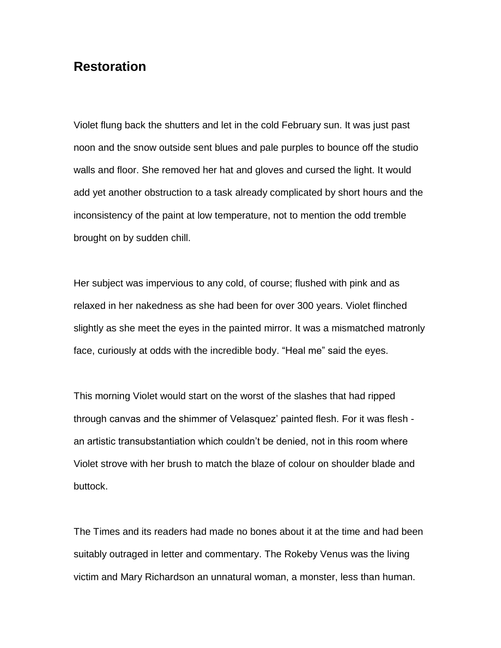## **Restoration**

Violet flung back the shutters and let in the cold February sun. It was just past noon and the snow outside sent blues and pale purples to bounce off the studio walls and floor. She removed her hat and gloves and cursed the light. It would add yet another obstruction to a task already complicated by short hours and the inconsistency of the paint at low temperature, not to mention the odd tremble brought on by sudden chill.

Her subject was impervious to any cold, of course; flushed with pink and as relaxed in her nakedness as she had been for over 300 years. Violet flinched slightly as she meet the eyes in the painted mirror. It was a mismatched matronly face, curiously at odds with the incredible body. "Heal me" said the eyes.

This morning Violet would start on the worst of the slashes that had ripped through canvas and the shimmer of Velasquez' painted flesh. For it was flesh an artistic transubstantiation which couldn't be denied, not in this room where Violet strove with her brush to match the blaze of colour on shoulder blade and buttock.

The Times and its readers had made no bones about it at the time and had been suitably outraged in letter and commentary. The Rokeby Venus was the living victim and Mary Richardson an unnatural woman, a monster, less than human.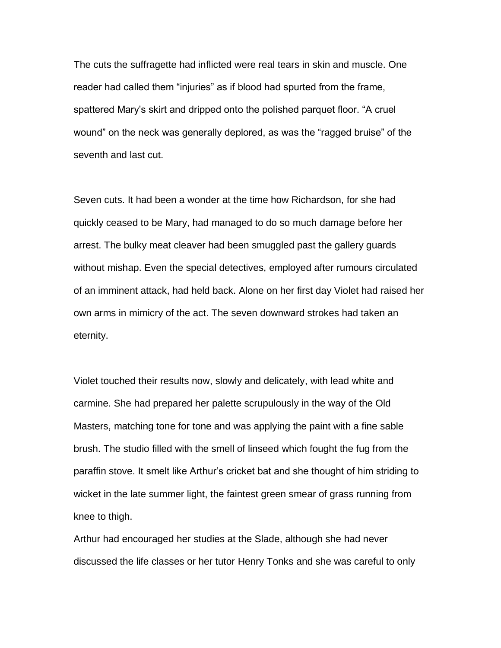The cuts the suffragette had inflicted were real tears in skin and muscle. One reader had called them "injuries" as if blood had spurted from the frame, spattered Mary's skirt and dripped onto the polished parquet floor. "A cruel wound" on the neck was generally deplored, as was the "ragged bruise" of the seventh and last cut.

Seven cuts. It had been a wonder at the time how Richardson, for she had quickly ceased to be Mary, had managed to do so much damage before her arrest. The bulky meat cleaver had been smuggled past the gallery guards without mishap. Even the special detectives, employed after rumours circulated of an imminent attack, had held back. Alone on her first day Violet had raised her own arms in mimicry of the act. The seven downward strokes had taken an eternity.

Violet touched their results now, slowly and delicately, with lead white and carmine. She had prepared her palette scrupulously in the way of the Old Masters, matching tone for tone and was applying the paint with a fine sable brush. The studio filled with the smell of linseed which fought the fug from the paraffin stove. It smelt like Arthur's cricket bat and she thought of him striding to wicket in the late summer light, the faintest green smear of grass running from knee to thigh.

Arthur had encouraged her studies at the Slade, although she had never discussed the life classes or her tutor Henry Tonks and she was careful to only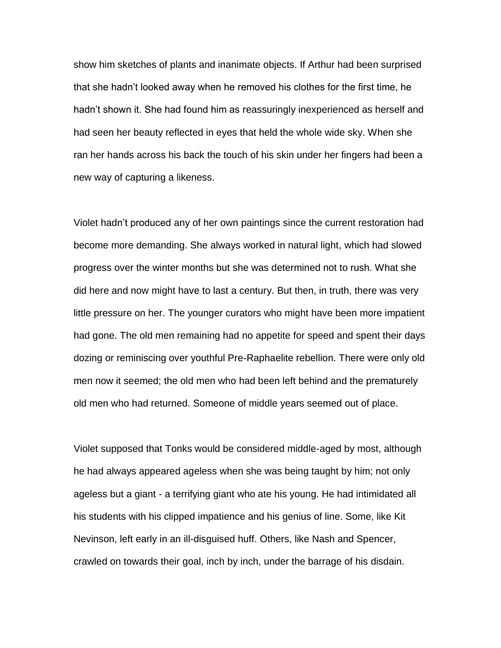show him sketches of plants and inanimate objects. If Arthur had been surprised that she hadn't looked away when he removed his clothes for the first time, he hadn't shown it. She had found him as reassuringly inexperienced as herself and had seen her beauty reflected in eyes that held the whole wide sky. When she ran her hands across his back the touch of his skin under her fingers had been a new way of capturing a likeness.

Violet hadn't produced any of her own paintings since the current restoration had become more demanding. She always worked in natural light, which had slowed progress over the winter months but she was determined not to rush. What she did here and now might have to last a century. But then, in truth, there was very little pressure on her. The younger curators who might have been more impatient had gone. The old men remaining had no appetite for speed and spent their days dozing or reminiscing over youthful Pre-Raphaelite rebellion. There were only old men now it seemed; the old men who had been left behind and the prematurely old men who had returned. Someone of middle years seemed out of place.

Violet supposed that Tonks would be considered middle-aged by most, although he had always appeared ageless when she was being taught by him; not only ageless but a giant - a terrifying giant who ate his young. He had intimidated all his students with his clipped impatience and his genius of line. Some, like Kit Nevinson, left early in an ill-disguised huff. Others, like Nash and Spencer, crawled on towards their goal, inch by inch, under the barrage of his disdain.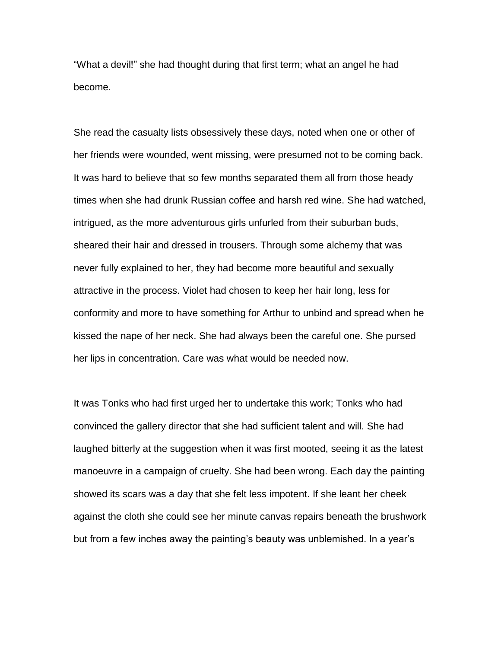"What a devil!" she had thought during that first term; what an angel he had become.

She read the casualty lists obsessively these days, noted when one or other of her friends were wounded, went missing, were presumed not to be coming back. It was hard to believe that so few months separated them all from those heady times when she had drunk Russian coffee and harsh red wine. She had watched, intrigued, as the more adventurous girls unfurled from their suburban buds, sheared their hair and dressed in trousers. Through some alchemy that was never fully explained to her, they had become more beautiful and sexually attractive in the process. Violet had chosen to keep her hair long, less for conformity and more to have something for Arthur to unbind and spread when he kissed the nape of her neck. She had always been the careful one. She pursed her lips in concentration. Care was what would be needed now.

It was Tonks who had first urged her to undertake this work; Tonks who had convinced the gallery director that she had sufficient talent and will. She had laughed bitterly at the suggestion when it was first mooted, seeing it as the latest manoeuvre in a campaign of cruelty. She had been wrong. Each day the painting showed its scars was a day that she felt less impotent. If she leant her cheek against the cloth she could see her minute canvas repairs beneath the brushwork but from a few inches away the painting's beauty was unblemished. In a year's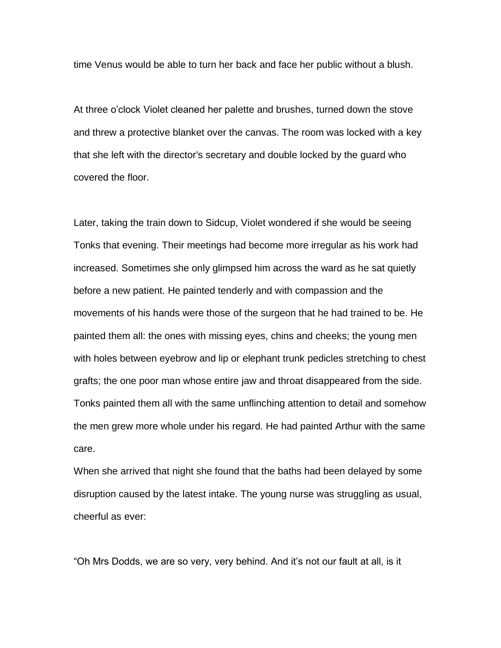time Venus would be able to turn her back and face her public without a blush.

At three o'clock Violet cleaned her palette and brushes, turned down the stove and threw a protective blanket over the canvas. The room was locked with a key that she left with the director's secretary and double locked by the guard who covered the floor.

Later, taking the train down to Sidcup, Violet wondered if she would be seeing Tonks that evening. Their meetings had become more irregular as his work had increased. Sometimes she only glimpsed him across the ward as he sat quietly before a new patient. He painted tenderly and with compassion and the movements of his hands were those of the surgeon that he had trained to be. He painted them all: the ones with missing eyes, chins and cheeks; the young men with holes between eyebrow and lip or elephant trunk pedicles stretching to chest grafts; the one poor man whose entire jaw and throat disappeared from the side. Tonks painted them all with the same unflinching attention to detail and somehow the men grew more whole under his regard. He had painted Arthur with the same care.

When she arrived that night she found that the baths had been delayed by some disruption caused by the latest intake. The young nurse was struggling as usual, cheerful as ever:

"Oh Mrs Dodds, we are so very, very behind. And it's not our fault at all, is it